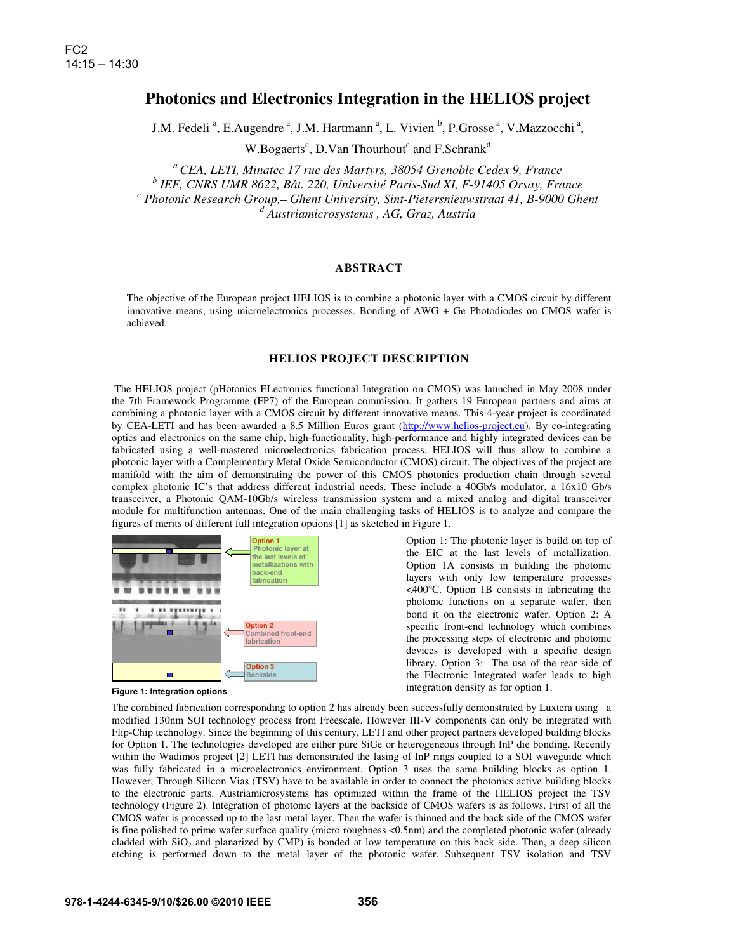# **Photonics and Electronics Integration in the HELIOS project**

J.M. Fedeli<sup>a</sup>, E.Augendre<sup>a</sup>, J.M. Hartmann<sup>a</sup>, L. Vivien<sup>b</sup>, P.Grosse<sup>a</sup>, V.Mazzocchi<sup>a</sup>,

W.Bogaerts<sup>c</sup>, D.Van Thourhout<sup>c</sup> and F.Schrank<sup>d</sup>

*<sup>a</sup> CEA, LETI, Minatec 17 rue des Martyrs, 38054 Grenoble Cedex 9, France* 

<sup>*b*</sup> *IEF, CNRS UMR 8622, Bât. 220, Université Paris-Sud XI, F-91405 Orsay, France* <sup>c</sup> Photonic Because Crown Chant University Sint Biotonic provincent 41, B 0000 Chan

 *Photonic Research Group,– Ghent University, Sint-Pietersnieuwstraat 41, B-9000 Ghent d Austriamicrosystems , AG, Graz, Austria* 

# **ABSTRACT**

The objective of the European project HELIOS is to combine a photonic layer with a CMOS circuit by different innovative means, using microelectronics processes. Bonding of AWG + Ge Photodiodes on CMOS wafer is achieved.

## **HELIOS PROJECT DESCRIPTION**

 The HELIOS project (pHotonics ELectronics functional Integration on CMOS) was launched in May 2008 under the 7th Framework Programme (FP7) of the European commission. It gathers 19 European partners and aims at combining a photonic layer with a CMOS circuit by different innovative means. This 4-year project is coordinated by CEA-LETI and has been awarded a 8.5 Million Euros grant (http://www.helios-project.eu). By co-integrating optics and electronics on the same chip, high-functionality, high-performance and highly integrated devices can be fabricated using a well-mastered microelectronics fabrication process. HELIOS will thus allow to combine a photonic layer with a Complementary Metal Oxide Semiconductor (CMOS) circuit. The objectives of the project are manifold with the aim of demonstrating the power of this CMOS photonics production chain through several complex photonic IC's that address different industrial needs. These include a 40Gb/s modulator, a 16x10 Gb/s transceiver, a Photonic QAM-10Gb/s wireless transmission system and a mixed analog and digital transceiver module for multifunction antennas. One of the main challenging tasks of HELIOS is to analyze and compare the figures of merits of different full integration options [1] as sketched in Figure 1.



Option 1: The photonic layer is build on top of the EIC at the last levels of metallization. Option 1A consists in building the photonic layers with only low temperature processes <400°C. Option 1B consists in fabricating the photonic functions on a separate wafer, then bond it on the electronic wafer. Option 2: A specific front-end technology which combines the processing steps of electronic and photonic devices is developed with a specific design library. Option 3: The use of the rear side of the Electronic Integrated wafer leads to high integration density as for option 1.

**Figure 1: Integration options**

The combined fabrication corresponding to option 2 has already been successfully demonstrated by Luxtera using a modified 130nm SOI technology process from Freescale. However III-V components can only be integrated with Flip-Chip technology. Since the beginning of this century, LETI and other project partners developed building blocks for Option 1. The technologies developed are either pure SiGe or heterogeneous through InP die bonding. Recently within the Wadimos project [2] LETI has demonstrated the lasing of InP rings coupled to a SOI waveguide which was fully fabricated in a microelectronics environment. Option 3 uses the same building blocks as option 1. However, Through Silicon Vias (TSV) have to be available in order to connect the photonics active building blocks to the electronic parts. Austriamicrosystems has optimized within the frame of the HELIOS project the TSV technology (Figure 2). Integration of photonic layers at the backside of CMOS wafers is as follows. First of all the CMOS wafer is processed up to the last metal layer. Then the wafer is thinned and the back side of the CMOS wafer is fine polished to prime wafer surface quality (micro roughness <0.5nm) and the completed photonic wafer (already cladded with  $SiO<sub>2</sub>$  and planarized by CMP) is bonded at low temperature on this back side. Then, a deep silicon etching is performed down to the metal layer of the photonic wafer. Subsequent TSV isolation and TSV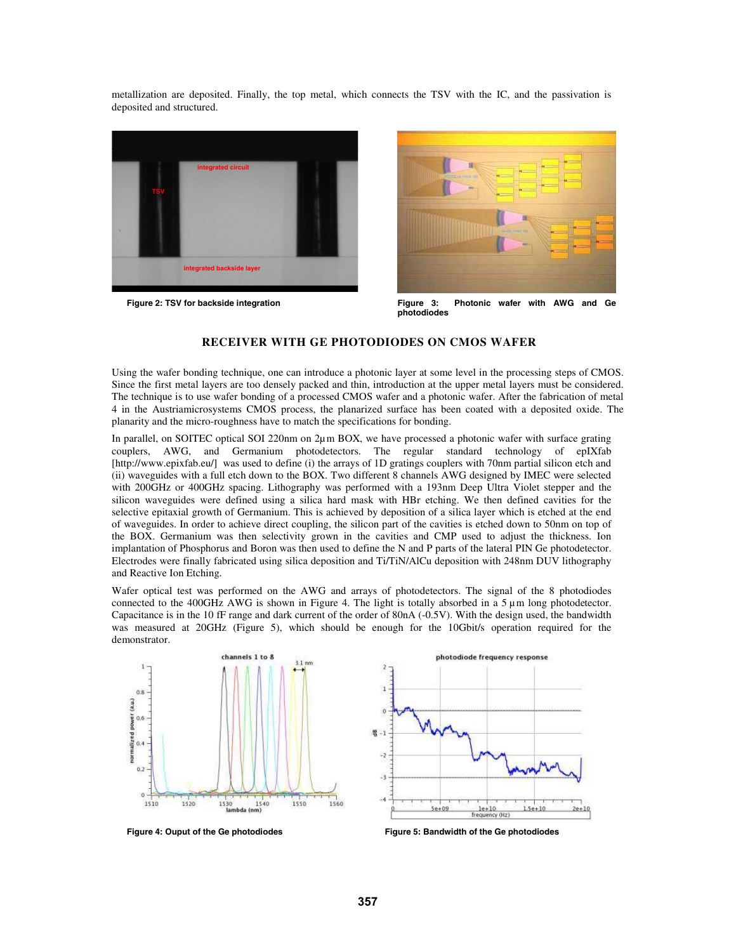metallization are deposited. Finally, the top metal, which connects the TSV with the IC, and the passivation is deposited and structured.





Figure 2: TSV for backside integration **Figure 3:** Photonic wafer with AWG and Ge **photodiodes** 

## **RECEIVER WITH GE PHOTODIODES ON CMOS WAFER**

Using the wafer bonding technique, one can introduce a photonic layer at some level in the processing steps of CMOS. Since the first metal layers are too densely packed and thin, introduction at the upper metal layers must be considered. The technique is to use wafer bonding of a processed CMOS wafer and a photonic wafer. After the fabrication of metal 4 in the Austriamicrosystems CMOS process, the planarized surface has been coated with a deposited oxide. The planarity and the micro-roughness have to match the specifications for bonding.

In parallel, on SOITEC optical SOI 220nm on 2µm BOX, we have processed a photonic wafer with surface grating couplers, AWG, and Germanium photodetectors. The regular standard technology of epIXfab [http://www.epixfab.eu/] was used to define (i) the arrays of 1D gratings couplers with 70nm partial silicon etch and (ii) waveguides with a full etch down to the BOX. Two different 8 channels AWG designed by IMEC were selected with 200GHz or 400GHz spacing. Lithography was performed with a 193nm Deep Ultra Violet stepper and the silicon waveguides were defined using a silica hard mask with HBr etching. We then defined cavities for the selective epitaxial growth of Germanium. This is achieved by deposition of a silica layer which is etched at the end of waveguides. In order to achieve direct coupling, the silicon part of the cavities is etched down to 50nm on top of the BOX. Germanium was then selectivity grown in the cavities and CMP used to adjust the thickness. Ion implantation of Phosphorus and Boron was then used to define the N and P parts of the lateral PIN Ge photodetector. Electrodes were finally fabricated using silica deposition and Ti/TiN/AlCu deposition with 248nm DUV lithography and Reactive Ion Etching.

Wafer optical test was performed on the AWG and arrays of photodetectors. The signal of the 8 photodiodes connected to the 400GHz AWG is shown in Figure 4. The light is totally absorbed in a  $5 \mu$ m long photodetector. Capacitance is in the 10 fF range and dark current of the order of 80nA (-0.5V). With the design used, the bandwidth was measured at 20GHz (Figure 5), which should be enough for the 10Gbit/s operation required for the demonstrator.





**Figure 4: Ouput of the Ge photodiodes Figure 5: Bandwidth of the Ge photodiodes**